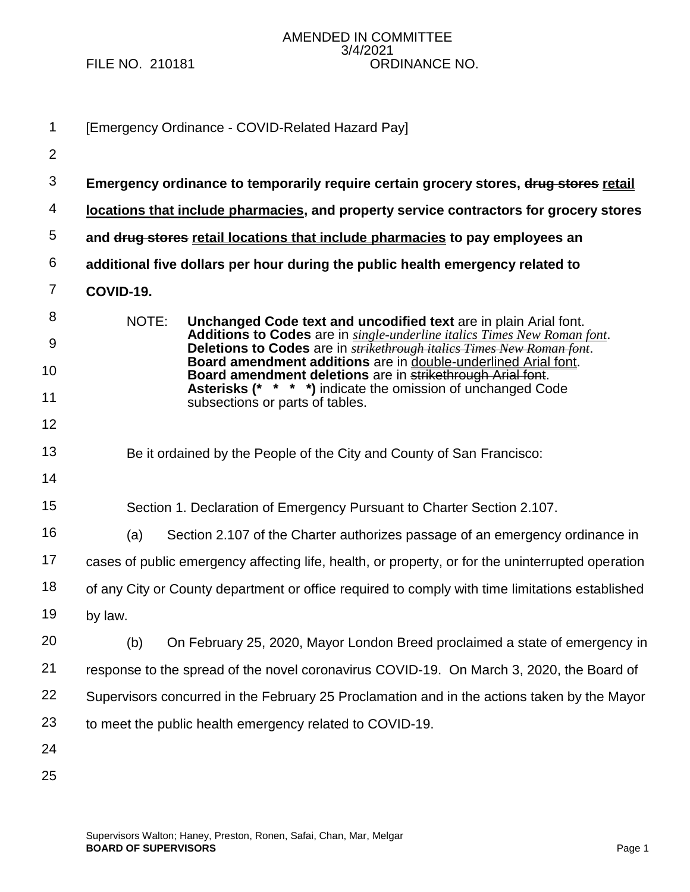## AMENDED IN COMMITTEE 3/4/2021 FILE NO. 210181 CHEMIC CONDINANCE NO.

| $\mathbf 1$    | [Emergency Ordinance - COVID-Related Hazard Pay]                                                                                                                                                                               |  |
|----------------|--------------------------------------------------------------------------------------------------------------------------------------------------------------------------------------------------------------------------------|--|
| $\overline{2}$ |                                                                                                                                                                                                                                |  |
| 3              | Emergency ordinance to temporarily require certain grocery stores, drug stores retail                                                                                                                                          |  |
| 4              | locations that include pharmacies, and property service contractors for grocery stores                                                                                                                                         |  |
| 5              | and drug stores retail locations that include pharmacies to pay employees an                                                                                                                                                   |  |
| 6              | additional five dollars per hour during the public health emergency related to                                                                                                                                                 |  |
| 7              | COVID-19.                                                                                                                                                                                                                      |  |
| 8<br>9         | NOTE:<br>Unchanged Code text and uncodified text are in plain Arial font.<br>Additions to Codes are in single-underline italics Times New Roman font.<br>Deletions to Codes are in strikethrough italies Times New Roman font. |  |
| 10             | Board amendment additions are in double-underlined Arial font.<br>Board amendment deletions are in strikethrough Arial font.<br><b>Asterisks (* * * *)</b> indicate the omission of unchanged Code                             |  |
| 11             | subsections or parts of tables.                                                                                                                                                                                                |  |
| 12             |                                                                                                                                                                                                                                |  |
| 13             | Be it ordained by the People of the City and County of San Francisco:                                                                                                                                                          |  |
| 14             |                                                                                                                                                                                                                                |  |
| 15             | Section 1. Declaration of Emergency Pursuant to Charter Section 2.107.                                                                                                                                                         |  |
| 16             | (a)<br>Section 2.107 of the Charter authorizes passage of an emergency ordinance in                                                                                                                                            |  |
| 17             | cases of public emergency affecting life, health, or property, or for the uninterrupted operation                                                                                                                              |  |
| 18             | of any City or County department or office required to comply with time limitations established                                                                                                                                |  |
| 19             | by law.                                                                                                                                                                                                                        |  |
| 20             | On February 25, 2020, Mayor London Breed proclaimed a state of emergency in<br>(b)                                                                                                                                             |  |
| 21             | response to the spread of the novel coronavirus COVID-19. On March 3, 2020, the Board of                                                                                                                                       |  |
| 22             | Supervisors concurred in the February 25 Proclamation and in the actions taken by the Mayor                                                                                                                                    |  |
| 23             | to meet the public health emergency related to COVID-19.                                                                                                                                                                       |  |
| 24             |                                                                                                                                                                                                                                |  |
| 25             |                                                                                                                                                                                                                                |  |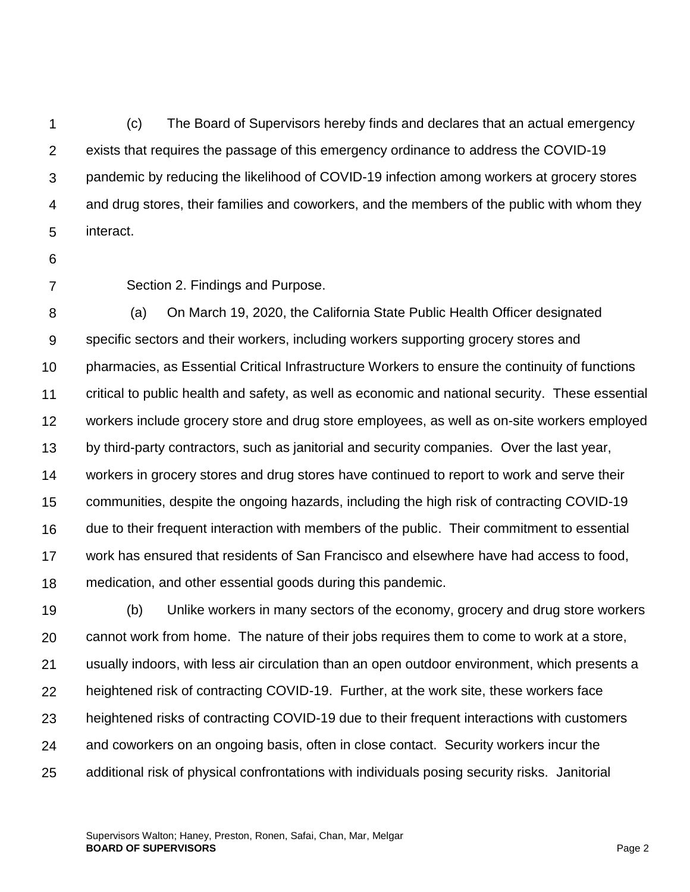1  $\mathcal{P}$ 3 4 5 (c) The Board of Supervisors hereby finds and declares that an actual emergency exists that requires the passage of this emergency ordinance to address the COVID-19 pandemic by reducing the likelihood of COVID-19 infection among workers at grocery stores and drug stores, their families and coworkers, and the members of the public with whom they interact.

- 6
- 7

Section 2. Findings and Purpose.

8 9 10 11 12 13 14 15 16 17 18 (a) On March 19, 2020, the California State Public Health Officer designated specific sectors and their workers, including workers supporting grocery stores and pharmacies, as Essential Critical Infrastructure Workers to ensure the continuity of functions critical to public health and safety, as well as economic and national security. These essential workers include grocery store and drug store employees, as well as on-site workers employed by third-party contractors, such as janitorial and security companies. Over the last year, workers in grocery stores and drug stores have continued to report to work and serve their communities, despite the ongoing hazards, including the high risk of contracting COVID-19 due to their frequent interaction with members of the public. Their commitment to essential work has ensured that residents of San Francisco and elsewhere have had access to food, medication, and other essential goods during this pandemic.

19 20 21 22 23 24 25 (b) Unlike workers in many sectors of the economy, grocery and drug store workers cannot work from home. The nature of their jobs requires them to come to work at a store, usually indoors, with less air circulation than an open outdoor environment, which presents a heightened risk of contracting COVID-19. Further, at the work site, these workers face heightened risks of contracting COVID-19 due to their frequent interactions with customers and coworkers on an ongoing basis, often in close contact. Security workers incur the additional risk of physical confrontations with individuals posing security risks. Janitorial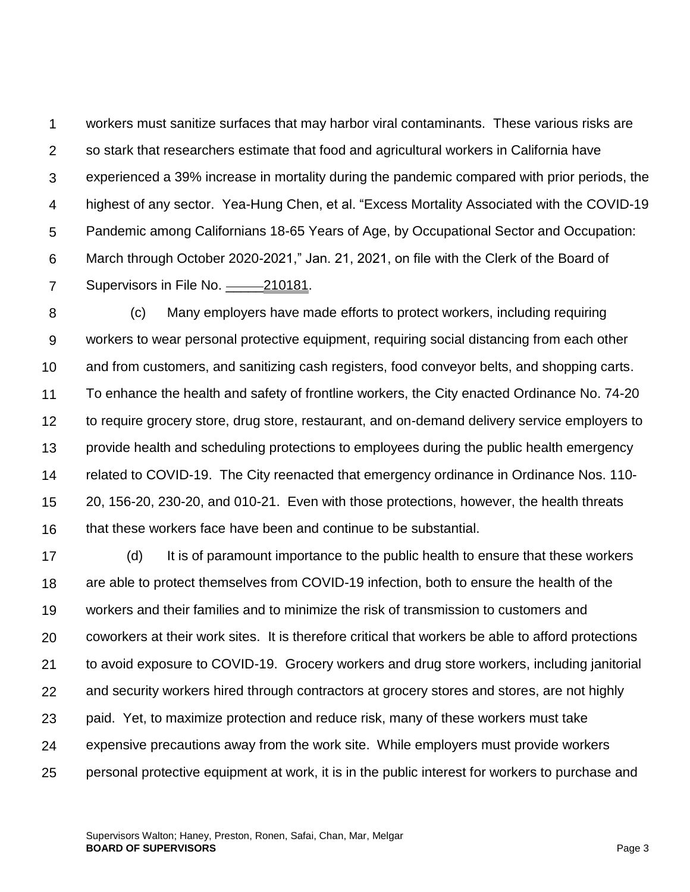1  $\mathcal{P}$ 3 4 5 6 7 workers must sanitize surfaces that may harbor viral contaminants. These various risks are so stark that researchers estimate that food and agricultural workers in California have experienced a 39% increase in mortality during the pandemic compared with prior periods, the highest of any sector. Yea-Hung Chen, et al. "Excess Mortality Associated with the COVID-19 Pandemic among Californians 18-65 Years of Age, by Occupational Sector and Occupation: March through October 2020-2021," Jan. 21, 2021, on file with the Clerk of the Board of Supervisors in File No. ------210181.

8 9 10 11 12 13 14 15 16 (c) Many employers have made efforts to protect workers, including requiring workers to wear personal protective equipment, requiring social distancing from each other and from customers, and sanitizing cash registers, food conveyor belts, and shopping carts. To enhance the health and safety of frontline workers, the City enacted Ordinance No. 74-20 to require grocery store, drug store, restaurant, and on-demand delivery service employers to provide health and scheduling protections to employees during the public health emergency related to COVID-19. The City reenacted that emergency ordinance in Ordinance Nos. 110- 20, 156-20, 230-20, and 010-21. Even with those protections, however, the health threats that these workers face have been and continue to be substantial.

17 18 19 20 21 22 23 24 25 (d) It is of paramount importance to the public health to ensure that these workers are able to protect themselves from COVID-19 infection, both to ensure the health of the workers and their families and to minimize the risk of transmission to customers and coworkers at their work sites. It is therefore critical that workers be able to afford protections to avoid exposure to COVID-19. Grocery workers and drug store workers, including janitorial and security workers hired through contractors at grocery stores and stores, are not highly paid. Yet, to maximize protection and reduce risk, many of these workers must take expensive precautions away from the work site. While employers must provide workers personal protective equipment at work, it is in the public interest for workers to purchase and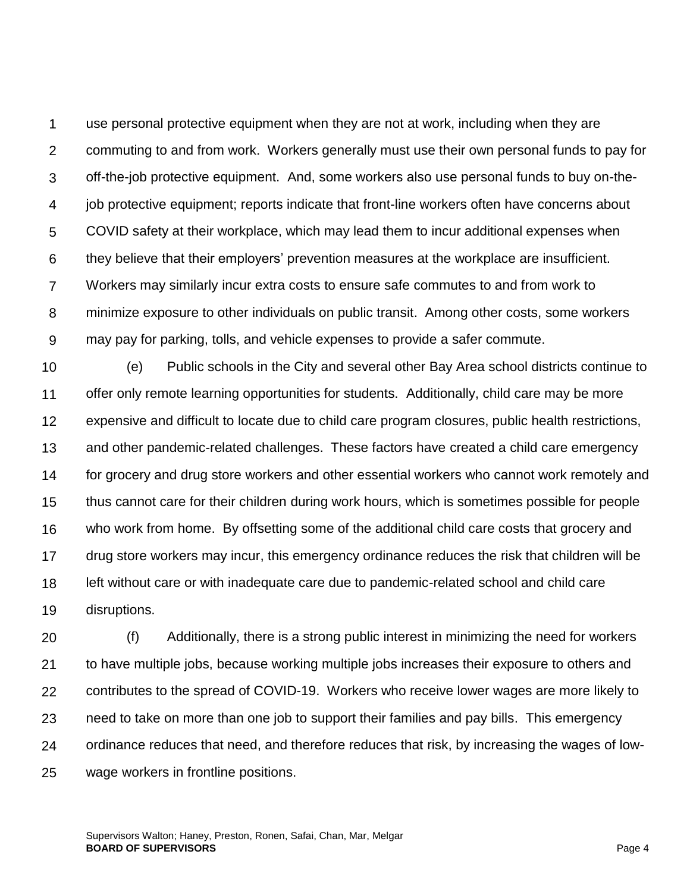1  $\mathcal{P}$ 3 4 5 6 7 8 9 use personal protective equipment when they are not at work, including when they are commuting to and from work. Workers generally must use their own personal funds to pay for off-the-job protective equipment. And, some workers also use personal funds to buy on-thejob protective equipment; reports indicate that front-line workers often have concerns about COVID safety at their workplace, which may lead them to incur additional expenses when they believe that their employers' prevention measures at the workplace are insufficient. Workers may similarly incur extra costs to ensure safe commutes to and from work to minimize exposure to other individuals on public transit. Among other costs, some workers may pay for parking, tolls, and vehicle expenses to provide a safer commute.

10 11 12 13 14 15 16 17 18 19 (e) Public schools in the City and several other Bay Area school districts continue to offer only remote learning opportunities for students. Additionally, child care may be more expensive and difficult to locate due to child care program closures, public health restrictions, and other pandemic-related challenges. These factors have created a child care emergency for grocery and drug store workers and other essential workers who cannot work remotely and thus cannot care for their children during work hours, which is sometimes possible for people who work from home. By offsetting some of the additional child care costs that grocery and drug store workers may incur, this emergency ordinance reduces the risk that children will be left without care or with inadequate care due to pandemic-related school and child care disruptions.

20 21 22 23 24 25 (f) Additionally, there is a strong public interest in minimizing the need for workers to have multiple jobs, because working multiple jobs increases their exposure to others and contributes to the spread of COVID-19. Workers who receive lower wages are more likely to need to take on more than one job to support their families and pay bills. This emergency ordinance reduces that need, and therefore reduces that risk, by increasing the wages of lowwage workers in frontline positions.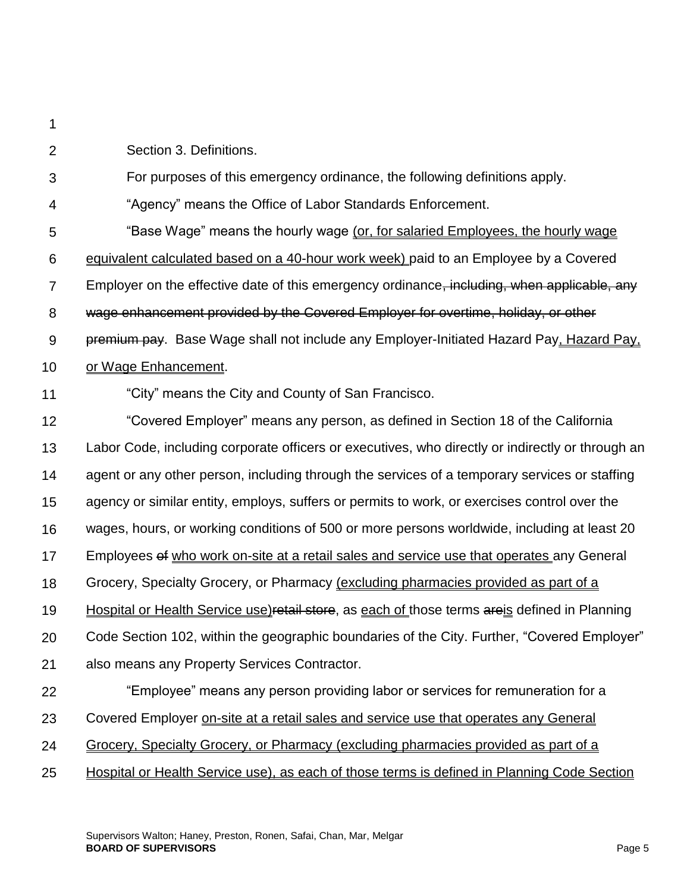1

2 Section 3. Definitions.

| 3              | For purposes of this emergency ordinance, the following definitions apply.                       |
|----------------|--------------------------------------------------------------------------------------------------|
| 4              | "Agency" means the Office of Labor Standards Enforcement.                                        |
| 5              | "Base Wage" means the hourly wage (or, for salaried Employees, the hourly wage                   |
| 6              | equivalent calculated based on a 40-hour work week) paid to an Employee by a Covered             |
| $\overline{7}$ | Employer on the effective date of this emergency ordinance, including, when applicable, any      |
| 8              | wage enhancement provided by the Covered Employer for overtime, holiday, or other                |
| $9$            | premium pay. Base Wage shall not include any Employer-Initiated Hazard Pay, Hazard Pay,          |
| 10             | or Wage Enhancement.                                                                             |
| 11             | "City" means the City and County of San Francisco.                                               |
| 12             | "Covered Employer" means any person, as defined in Section 18 of the California                  |
| 13             | Labor Code, including corporate officers or executives, who directly or indirectly or through an |
| 14             | agent or any other person, including through the services of a temporary services or staffing    |
| 15             | agency or similar entity, employs, suffers or permits to work, or exercises control over the     |
| 16             | wages, hours, or working conditions of 500 or more persons worldwide, including at least 20      |
| 17             | Employees of who work on-site at a retail sales and service use that operates any General        |
| 18             | Grocery, Specialty Grocery, or Pharmacy (excluding pharmacies provided as part of a              |
| 19             | Hospital or Health Service use) retail store, as each of those terms areis defined in Planning   |
| 20             | Code Section 102, within the geographic boundaries of the City. Further, "Covered Employer"      |
| 21             | also means any Property Services Contractor.                                                     |
| 22             | "Employee" means any person providing labor or services for remuneration for a                   |
| 23             | Covered Employer on-site at a retail sales and service use that operates any General             |
| 24             | Grocery, Specialty Grocery, or Pharmacy (excluding pharmacies provided as part of a              |
| 25             | Hospital or Health Service use), as each of those terms is defined in Planning Code Section      |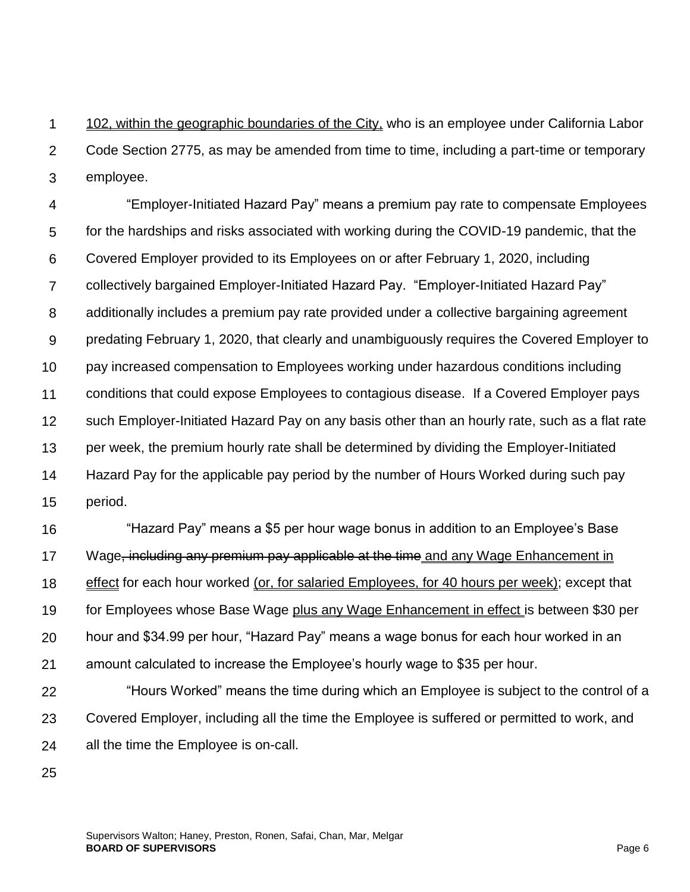1  $\mathfrak{p}$ 3 102, within the geographic boundaries of the City, who is an employee under California Labor Code Section 2775, as may be amended from time to time, including a part-time or temporary employee.

4 5 6 7 8 9 10 11 12 13 14 15 "Employer-Initiated Hazard Pay" means a premium pay rate to compensate Employees for the hardships and risks associated with working during the COVID-19 pandemic, that the Covered Employer provided to its Employees on or after February 1, 2020, including collectively bargained Employer-Initiated Hazard Pay. "Employer-Initiated Hazard Pay" additionally includes a premium pay rate provided under a collective bargaining agreement predating February 1, 2020, that clearly and unambiguously requires the Covered Employer to pay increased compensation to Employees working under hazardous conditions including conditions that could expose Employees to contagious disease. If a Covered Employer pays such Employer-Initiated Hazard Pay on any basis other than an hourly rate, such as a flat rate per week, the premium hourly rate shall be determined by dividing the Employer-Initiated Hazard Pay for the applicable pay period by the number of Hours Worked during such pay period.

16 17 18 19 20 21 "Hazard Pay" means a \$5 per hour wage bonus in addition to an Employee's Base Wage, including any premium pay applicable at the time and any Wage Enhancement in effect for each hour worked (or, for salaried Employees, for 40 hours per week); except that for Employees whose Base Wage plus any Wage Enhancement in effect is between \$30 per hour and \$34.99 per hour, "Hazard Pay" means a wage bonus for each hour worked in an amount calculated to increase the Employee's hourly wage to \$35 per hour.

22 23 24 "Hours Worked" means the time during which an Employee is subject to the control of a Covered Employer, including all the time the Employee is suffered or permitted to work, and all the time the Employee is on-call.

25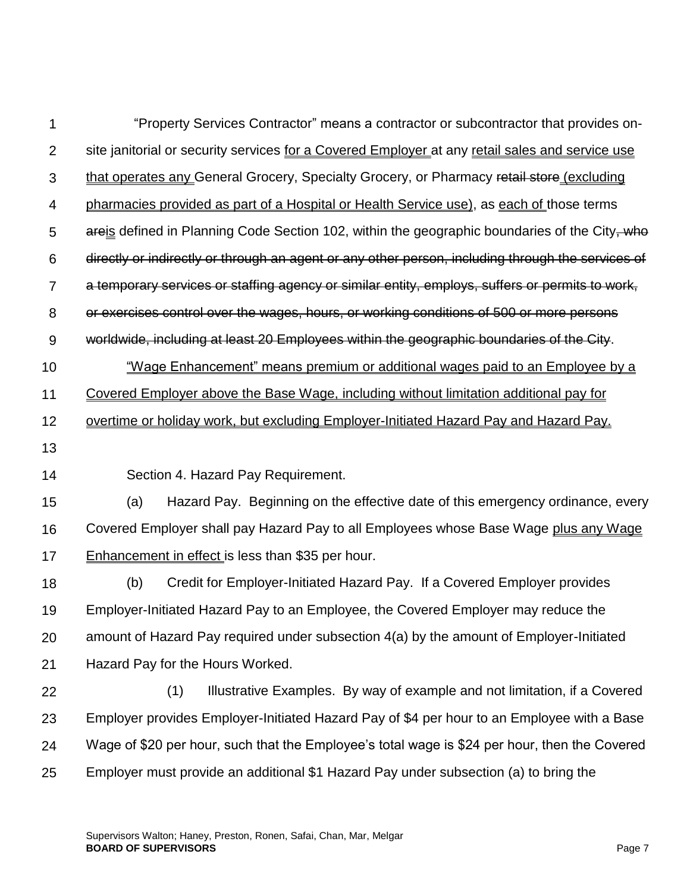| 1              | "Property Services Contractor" means a contractor or subcontractor that provides on-              |
|----------------|---------------------------------------------------------------------------------------------------|
| $\overline{2}$ | site janitorial or security services for a Covered Employer at any retail sales and service use   |
| 3              | that operates any General Grocery, Specialty Grocery, or Pharmacy retail store (excluding         |
| 4              | pharmacies provided as part of a Hospital or Health Service use), as each of those terms          |
| 5              | areis defined in Planning Code Section 102, within the geographic boundaries of the City, who     |
| 6              | directly or indirectly or through an agent or any other person, including through the services of |
| 7              | a temporary services or staffing agency or similar entity, employs, suffers or permits to work,   |
| 8              | or exercises control over the wages, hours, or working conditions of 500 or more persons          |
| 9              | worldwide, including at least 20 Employees within the geographic boundaries of the City.          |
| 10             | <u>"Wage Enhancement" means premium or additional wages paid to an Employee by a</u>              |
| 11             | Covered Employer above the Base Wage, including without limitation additional pay for             |
| 12             | overtime or holiday work, but excluding Employer-Initiated Hazard Pay and Hazard Pay.             |
| 13             |                                                                                                   |
| 14             | Section 4. Hazard Pay Requirement.                                                                |
| 15             | Hazard Pay. Beginning on the effective date of this emergency ordinance, every<br>(a)             |
| 16             | Covered Employer shall pay Hazard Pay to all Employees whose Base Wage plus any Wage              |
| 17             | Enhancement in effect is less than \$35 per hour.                                                 |
| 18             | (b)<br>Credit for Employer-Initiated Hazard Pay. If a Covered Employer provides                   |
| 19             | Employer-Initiated Hazard Pay to an Employee, the Covered Employer may reduce the                 |
| 20             | amount of Hazard Pay required under subsection 4(a) by the amount of Employer-Initiated           |
| 21             | Hazard Pay for the Hours Worked.                                                                  |
| 22             | (1)<br>Illustrative Examples. By way of example and not limitation, if a Covered                  |
| 23             | Employer provides Employer-Initiated Hazard Pay of \$4 per hour to an Employee with a Base        |
| 24             | Wage of \$20 per hour, such that the Employee's total wage is \$24 per hour, then the Covered     |
|                |                                                                                                   |
| 25             | Employer must provide an additional \$1 Hazard Pay under subsection (a) to bring the              |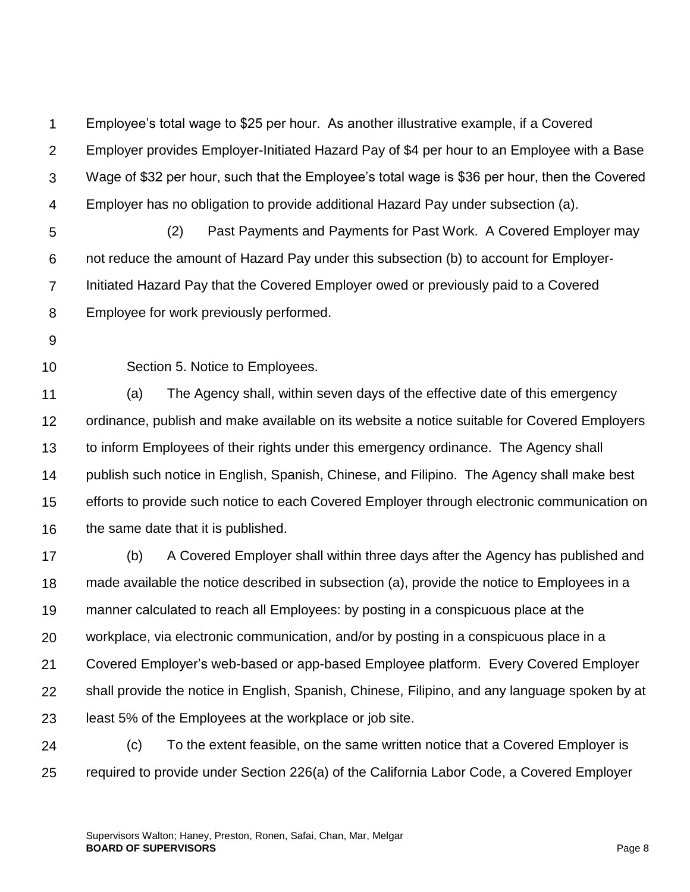1  $\mathcal{P}$ 3 4 Employee's total wage to \$25 per hour. As another illustrative example, if a Covered Employer provides Employer-Initiated Hazard Pay of \$4 per hour to an Employee with a Base Wage of \$32 per hour, such that the Employee's total wage is \$36 per hour, then the Covered Employer has no obligation to provide additional Hazard Pay under subsection (a).

5 6 7 8 (2) Past Payments and Payments for Past Work. A Covered Employer may not reduce the amount of Hazard Pay under this subsection (b) to account for Employer-Initiated Hazard Pay that the Covered Employer owed or previously paid to a Covered Employee for work previously performed.

9

10

Section 5. Notice to Employees.

11 12 13 14 15 16 (a) The Agency shall, within seven days of the effective date of this emergency ordinance, publish and make available on its website a notice suitable for Covered Employers to inform Employees of their rights under this emergency ordinance. The Agency shall publish such notice in English, Spanish, Chinese, and Filipino. The Agency shall make best efforts to provide such notice to each Covered Employer through electronic communication on the same date that it is published.

17 18 19 20 21 22 23 (b) A Covered Employer shall within three days after the Agency has published and made available the notice described in subsection (a), provide the notice to Employees in a manner calculated to reach all Employees: by posting in a conspicuous place at the workplace, via electronic communication, and/or by posting in a conspicuous place in a Covered Employer's web-based or app-based Employee platform. Every Covered Employer shall provide the notice in English, Spanish, Chinese, Filipino, and any language spoken by at least 5% of the Employees at the workplace or job site.

24 25 (c) To the extent feasible, on the same written notice that a Covered Employer is required to provide under Section 226(a) of the California Labor Code, a Covered Employer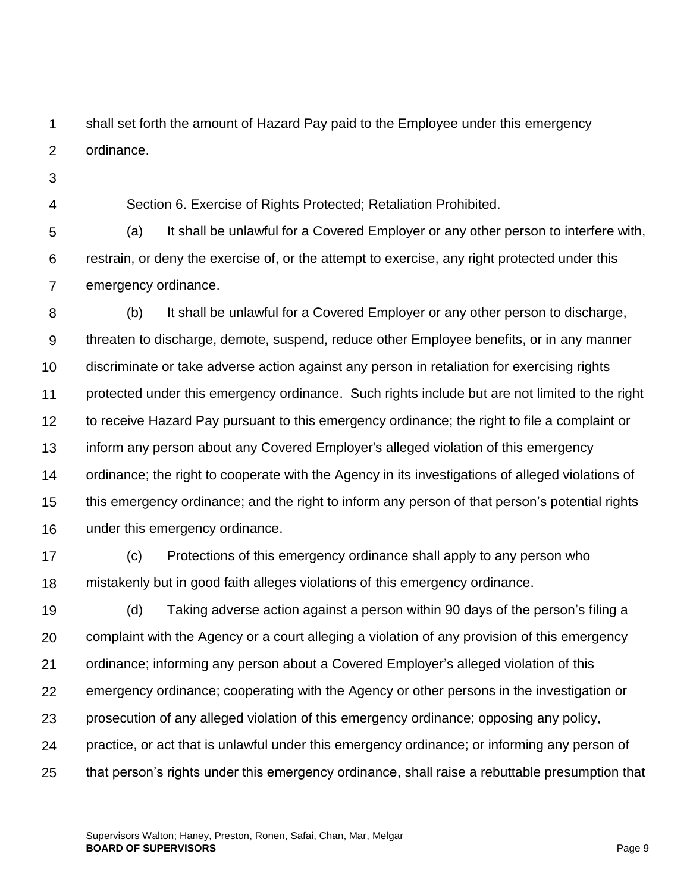1  $\mathcal{P}$ shall set forth the amount of Hazard Pay paid to the Employee under this emergency ordinance.

3

4

Section 6. Exercise of Rights Protected; Retaliation Prohibited.

5 6 7 (a) It shall be unlawful for a Covered Employer or any other person to interfere with, restrain, or deny the exercise of, or the attempt to exercise, any right protected under this emergency ordinance.

8 9 10 11 12 13 14 15 16 (b) It shall be unlawful for a Covered Employer or any other person to discharge, threaten to discharge, demote, suspend, reduce other Employee benefits, or in any manner discriminate or take adverse action against any person in retaliation for exercising rights protected under this emergency ordinance. Such rights include but are not limited to the right to receive Hazard Pay pursuant to this emergency ordinance; the right to file a complaint or inform any person about any Covered Employer's alleged violation of this emergency ordinance; the right to cooperate with the Agency in its investigations of alleged violations of this emergency ordinance; and the right to inform any person of that person's potential rights under this emergency ordinance.

17 18 (c) Protections of this emergency ordinance shall apply to any person who mistakenly but in good faith alleges violations of this emergency ordinance.

19 20 21 22 23 24 25 (d) Taking adverse action against a person within 90 days of the person's filing a complaint with the Agency or a court alleging a violation of any provision of this emergency ordinance; informing any person about a Covered Employer's alleged violation of this emergency ordinance; cooperating with the Agency or other persons in the investigation or prosecution of any alleged violation of this emergency ordinance; opposing any policy, practice, or act that is unlawful under this emergency ordinance; or informing any person of that person's rights under this emergency ordinance, shall raise a rebuttable presumption that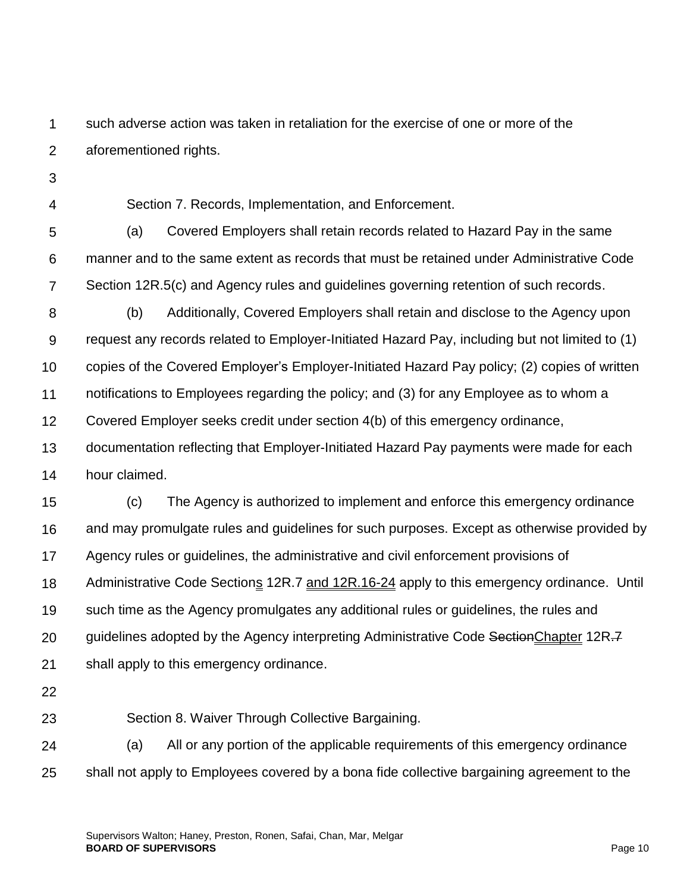1  $\mathcal{P}$ such adverse action was taken in retaliation for the exercise of one or more of the aforementioned rights.

3

4

Section 7. Records, Implementation, and Enforcement.

5 6 7 (a) Covered Employers shall retain records related to Hazard Pay in the same manner and to the same extent as records that must be retained under Administrative Code Section 12R.5(c) and Agency rules and guidelines governing retention of such records.

8 (b) Additionally, Covered Employers shall retain and disclose to the Agency upon

9 request any records related to Employer-Initiated Hazard Pay, including but not limited to (1)

10 copies of the Covered Employer's Employer-Initiated Hazard Pay policy; (2) copies of written

11 notifications to Employees regarding the policy; and (3) for any Employee as to whom a

12 Covered Employer seeks credit under section 4(b) of this emergency ordinance,

13 14 documentation reflecting that Employer-Initiated Hazard Pay payments were made for each hour claimed.

15 16 17 18 19 (c) The Agency is authorized to implement and enforce this emergency ordinance and may promulgate rules and guidelines for such purposes. Except as otherwise provided by Agency rules or guidelines, the administrative and civil enforcement provisions of Administrative Code Sections 12R.7 and 12R.16-24 apply to this emergency ordinance. Until such time as the Agency promulgates any additional rules or guidelines, the rules and

20 guidelines adopted by the Agency interpreting Administrative Code Section Chapter 12R.7

- 21 shall apply to this emergency ordinance.
- 22

23 Section 8. Waiver Through Collective Bargaining.

24 25 (a) All or any portion of the applicable requirements of this emergency ordinance shall not apply to Employees covered by a bona fide collective bargaining agreement to the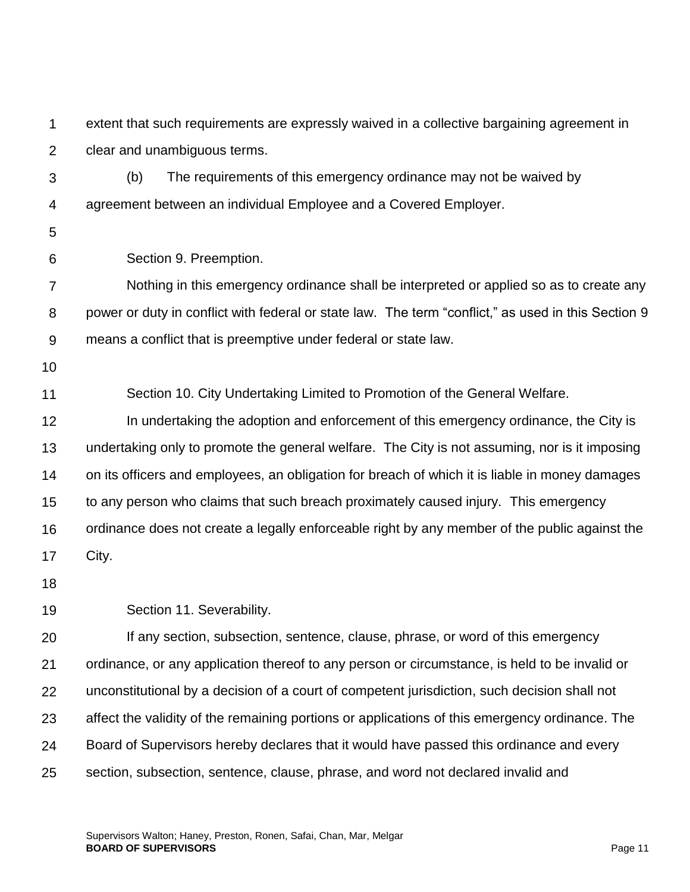1  $\mathcal{P}$ extent that such requirements are expressly waived in a collective bargaining agreement in clear and unambiguous terms.

3 4 (b) The requirements of this emergency ordinance may not be waived by agreement between an individual Employee and a Covered Employer.

5

6

Section 9. Preemption.

7 8 9 Nothing in this emergency ordinance shall be interpreted or applied so as to create any power or duty in conflict with federal or state law. The term "conflict," as used in this Section 9 means a conflict that is preemptive under federal or state law.

10

11 Section 10. City Undertaking Limited to Promotion of the General Welfare.

12 13 14 15 16 17 In undertaking the adoption and enforcement of this emergency ordinance, the City is undertaking only to promote the general welfare. The City is not assuming, nor is it imposing on its officers and employees, an obligation for breach of which it is liable in money damages to any person who claims that such breach proximately caused injury. This emergency ordinance does not create a legally enforceable right by any member of the public against the City.

18

19 Section 11. Severability.

20 21 22 23 24 25 If any section, subsection, sentence, clause, phrase, or word of this emergency ordinance, or any application thereof to any person or circumstance, is held to be invalid or unconstitutional by a decision of a court of competent jurisdiction, such decision shall not affect the validity of the remaining portions or applications of this emergency ordinance. The Board of Supervisors hereby declares that it would have passed this ordinance and every section, subsection, sentence, clause, phrase, and word not declared invalid and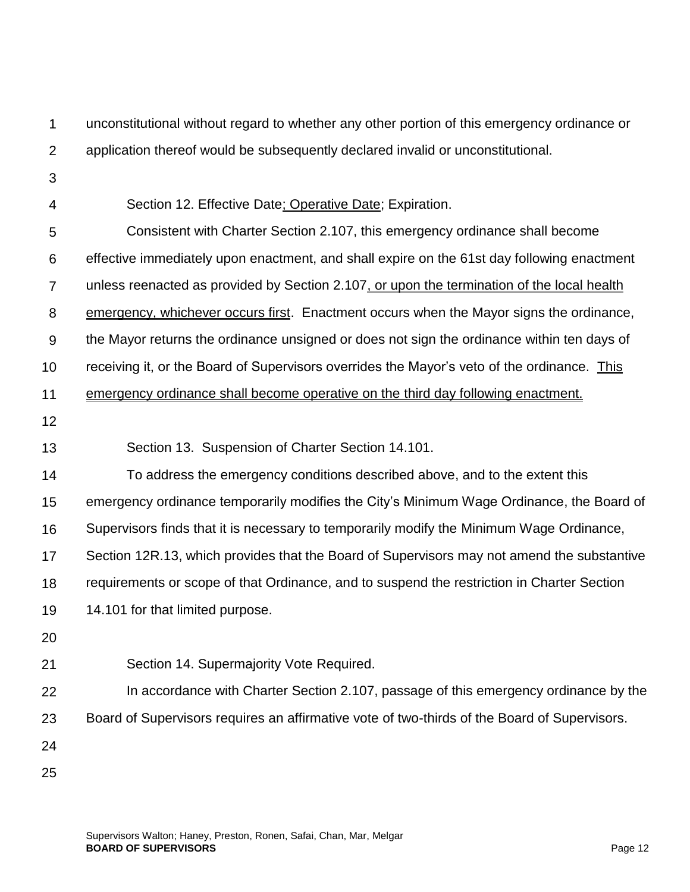| 1              | unconstitutional without regard to whether any other portion of this emergency ordinance or  |
|----------------|----------------------------------------------------------------------------------------------|
| $\overline{2}$ | application thereof would be subsequently declared invalid or unconstitutional.              |
| 3              |                                                                                              |
| 4              | Section 12. Effective Date: Operative Date; Expiration.                                      |
| 5              | Consistent with Charter Section 2.107, this emergency ordinance shall become                 |
| 6              | effective immediately upon enactment, and shall expire on the 61st day following enactment   |
| $\overline{7}$ | unless reenacted as provided by Section 2.107, or upon the termination of the local health   |
| 8              | emergency, whichever occurs first. Enactment occurs when the Mayor signs the ordinance,      |
| $9\,$          | the Mayor returns the ordinance unsigned or does not sign the ordinance within ten days of   |
| 10             | receiving it, or the Board of Supervisors overrides the Mayor's veto of the ordinance. This  |
| 11             | emergency ordinance shall become operative on the third day following enactment.             |
| 12             |                                                                                              |
| 13             | Section 13. Suspension of Charter Section 14.101.                                            |
| 14             | To address the emergency conditions described above, and to the extent this                  |
| 15             | emergency ordinance temporarily modifies the City's Minimum Wage Ordinance, the Board of     |
| 16             | Supervisors finds that it is necessary to temporarily modify the Minimum Wage Ordinance,     |
| 17             | Section 12R.13, which provides that the Board of Supervisors may not amend the substantive   |
| 18             | requirements or scope of that Ordinance, and to suspend the restriction in Charter Section   |
| 19             | 14.101 for that limited purpose.                                                             |
| 20             |                                                                                              |
| 21             | Section 14. Supermajority Vote Required.                                                     |
| 22             | In accordance with Charter Section 2.107, passage of this emergency ordinance by the         |
| 23             | Board of Supervisors requires an affirmative vote of two-thirds of the Board of Supervisors. |
| 24             |                                                                                              |
| 25             |                                                                                              |